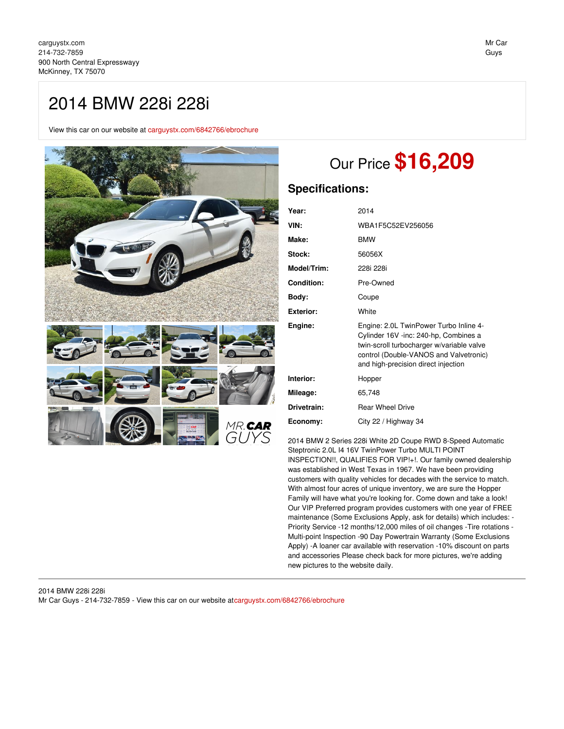## 2014 BMW 228i 228i

View this car on our website at [carguystx.com/6842766/ebrochure](file:///6842766/ebrochure)



# Our Price **\$16,209**

## **Specifications:**

| Year:            | 2014                                                                                                                                                                                                          |
|------------------|---------------------------------------------------------------------------------------------------------------------------------------------------------------------------------------------------------------|
| VIN:             | WBA1F5C52EV256056                                                                                                                                                                                             |
| Make:            | <b>BMW</b>                                                                                                                                                                                                    |
| Stock:           | 56056X                                                                                                                                                                                                        |
| Model/Trim:      | 228i 228i                                                                                                                                                                                                     |
| Condition:       | Pre-Owned                                                                                                                                                                                                     |
| Body:            | Coupe                                                                                                                                                                                                         |
| <b>Exterior:</b> | White                                                                                                                                                                                                         |
| Engine:          | Engine: 2.0L TwinPower Turbo Inline 4-<br>Cylinder 16V -inc: 240-hp, Combines a<br>twin-scroll turbocharger w/variable valve<br>control (Double-VANOS and Valvetronic)<br>and high-precision direct injection |
| Interior:        | Hopper                                                                                                                                                                                                        |
| Mileage:         | 65,748                                                                                                                                                                                                        |
| Drivetrain:      | <b>Rear Wheel Drive</b>                                                                                                                                                                                       |
| Economy:         | City 22 / Highway 34                                                                                                                                                                                          |

2014 BMW 2 Series 228i White 2D Coupe RWD 8-Speed Automatic Steptronic 2.0L I4 16V TwinPower Turbo MULTI POINT INSPECTION!!, QUALIFIES FOR VIP!+!. Our family owned dealership was established in West Texas in 1967. We have been providing customers with quality vehicles for decades with the service to match. With almost four acres of unique inventory, we are sure the Hopper Family will have what you're looking for. Come down and take a look! Our VIP Preferred program provides customers with one year of FREE maintenance (Some Exclusions Apply, ask for details) which includes: - Priority Service -12 months/12,000 miles of oil changes -Tire rotations - Multi-point Inspection -90 Day Powertrain Warranty (Some Exclusions Apply) -A loaner car available with reservation -10% discount on parts and accessories Please check back for more pictures, we're adding new pictures to the website daily.

GUY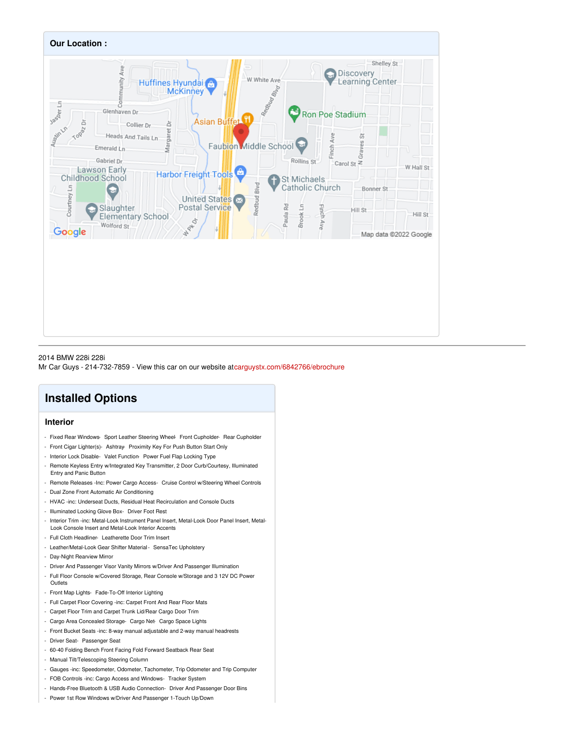

## 2014 BMW 228i 228i

Mr Car Guys - 214-732-7859 - View this car on our website a[tcarguystx.com/6842766/ebrochure](file:///6842766/ebrochure)

## **Installed Options**

### **Interior**

- Fixed Rear Windows- Sport Leather Steering Wheel- Front Cupholder- Rear Cupholder
- Front Cigar Lighter(s)- Ashtray- Proximity Key For Push Button Start Only
- Interior Lock Disable- Valet Function- Power Fuel Flap Locking Type
- Remote Keyless Entry w/Integrated Key Transmitter, 2 Door Curb/Courtesy, Illuminated Entry and Panic Button
- Remote Releases -Inc: Power Cargo Access- Cruise Control w/Steering Wheel Controls
- Dual Zone Front Automatic Air Conditioning
- HVAC -inc: Underseat Ducts, Residual Heat Recirculation and Console Ducts
- Illuminated Locking Glove Box- Driver Foot Rest
- Interior Trim -inc: Metal-Look Instrument Panel Insert, Metal-Look Door Panel Insert, Metal-Look Console Insert and Metal-Look Interior Accents
- Full Cloth Headliner- Leatherette Door Trim Insert
- Leather/Metal-Look Gear Shifter Material- SensaTec Upholstery
- Day-Night Rearview Mirror
- Driver And Passenger Visor Vanity Mirrors w/Driver And Passenger Illumination
- Full Floor Console w/Covered Storage, Rear Console w/Storage and 3 12V DC Power **Outlets**
- Front Map Lights- Fade-To-Off Interior Lighting
- Full Carpet Floor Covering -inc: Carpet Front And Rear Floor Mats
- Carpet Floor Trim and Carpet Trunk Lid/Rear Cargo Door Trim
- Cargo Area Concealed Storage- Cargo Net- Cargo Space Lights
- Front Bucket Seats -inc: 8-way manual adjustable and 2-way manual headrests
- Driver Seat- Passenger Seat
- 60-40 Folding Bench Front Facing Fold Forward Seatback Rear Seat
- Manual Tilt/Telescoping Steering Column
- Gauges -inc: Speedometer, Odometer, Tachometer, Trip Odometer and Trip Computer
- FOB Controls -inc: Cargo Access and Windows- Tracker System
- Hands-Free Bluetooth & USB Audio Connection- Driver And Passenger Door Bins
- Power 1st Row Windows w/Driver And Passenger 1-Touch Up/Down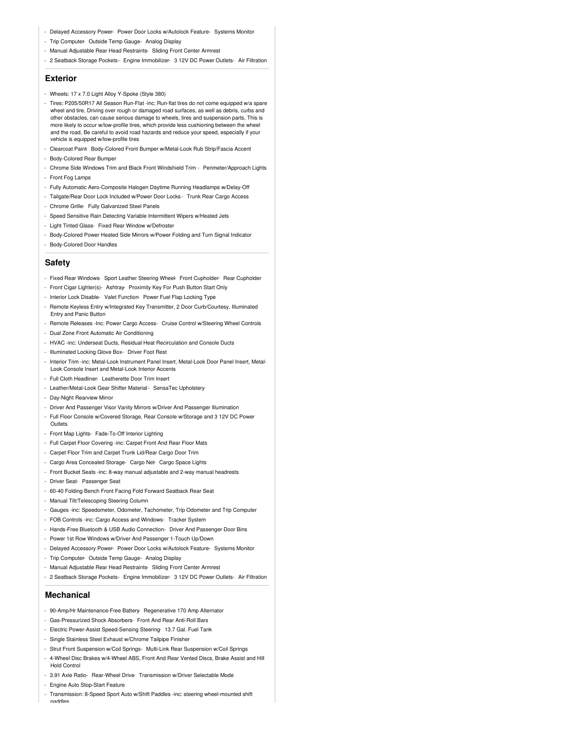- Delayed Accessory Power- Power Door Locks w/Autolock Feature- Systems Monitor
- Trip Computer- Outside Temp Gauge- Analog Display
- Manual Adjustable Rear Head Restraints- Sliding Front Center Armrest
- 2 Seatback Storage Pockets- Engine Immobilizer- 3 12V DC Power Outlets- Air Filtration

#### **Exterior**

- Wheels: 17 x 7.0 Light Alloy Y-Spoke (Style 380)
- Tires: P205/50R17 All Season Run-Flat -inc: Run-flat tires do not come equipped w/a spare wheel and tire, Driving over rough or damaged road surfaces, as well as debris, curbs and other obstacles, can cause serious damage to wheels, tires and suspension parts, This is more likely to occur w/low-profile tires, which provide less cushioning between the wheel and the road, Be careful to avoid road hazards and reduce your speed, especially if your vehicle is equipped w/low-profile tires
- Clearcoat Paint- Body-Colored Front Bumper w/Metal-Look Rub Strip/Fascia Accent
- Body-Colored Rear Bumper
- Chrome Side Windows Trim and Black Front Windshield Trim Perimeter/Approach Lights - Front Fog Lamps
- 
- Fully Automatic Aero-Composite Halogen Daytime Running Headlamps w/Delay-Off
- Tailgate/Rear Door Lock Included w/Power Door Locks Trunk Rear Cargo Access
- Chrome Grille- Fully Galvanized Steel Panels
- Speed Sensitive Rain Detecting Variable Intermittent Wipers w/Heated Jets
- Light Tinted Glass- Fixed Rear Window w/Defroster
- Body-Colored Power Heated Side Mirrors w/Power Folding and Turn Signal Indicator
- Body-Colored Door Handles

#### **Safety**

- Fixed Rear Windows- Sport Leather Steering Wheel- Front Cupholder- Rear Cupholder
- Front Cigar Lighter(s)- Ashtray- Proximity Key For Push Button Start Only
- Interior Lock Disable- Valet Function- Power Fuel Flap Locking Type
- Remote Keyless Entry w/Integrated Key Transmitter, 2 Door Curb/Courtesy, Illuminated Entry and Panic Button
- Remote Releases -Inc: Power Cargo Access- Cruise Control w/Steering Wheel Controls
- Dual Zone Front Automatic Air Conditioning
- HVAC -inc: Underseat Ducts, Residual Heat Recirculation and Console Ducts
- Illuminated Locking Glove Box- Driver Foot Rest
- Interior Trim -inc: Metal-Look Instrument Panel Insert, Metal-Look Door Panel Insert, Metal-Look Console Insert and Metal-Look Interior Accents
- Full Cloth Headliner- Leatherette Door Trim Insert
- Leather/Metal-Look Gear Shifter Material- SensaTec Upholstery
- Day-Night Rearview Mirror
- Driver And Passenger Visor Vanity Mirrors w/Driver And Passenger Illumination
- Full Floor Console w/Covered Storage, Rear Console w/Storage and 3 12V DC Power
- **Outlets**
- Front Map Lights- Fade-To-Off Interior Lighting
- Full Carpet Floor Covering -inc: Carpet Front And Rear Floor Mats
- Carpet Floor Trim and Carpet Trunk Lid/Rear Cargo Door Trim
- Cargo Area Concealed Storage- Cargo Net- Cargo Space Lights
- Front Bucket Seats -inc: 8-way manual adjustable and 2-way manual headrests
- Driver Seat- Passenger Seat
- 60-40 Folding Bench Front Facing Fold Forward Seatback Rear Seat
- Manual Tilt/Telescoping Steering Column
- Gauges -inc: Speedometer, Odometer, Tachometer, Trip Odometer and Trip Computer
- FOB Controls -inc: Cargo Access and Windows- Tracker System
- Hands-Free Bluetooth & USB Audio Connection- Driver And Passenger Door Bins
- Power 1st Row Windows w/Driver And Passenger 1-Touch Up/Down
- Delayed Accessory Power- Power Door Locks w/Autolock Feature- Systems Monitor
- Trip Computer- Outside Temp Gauge- Analog Display
- Manual Adjustable Rear Head Restraints- Sliding Front Center Armrest
- 2 Seatback Storage Pockets- Engine Immobilizer- 3 12V DC Power Outlets- Air Filtration

#### **Mechanical**

- 90-Amp/Hr Maintenance-Free Battery- Regenerative 170 Amp Alternator
- Gas-Pressurized Shock Absorbers- Front And Rear Anti-Roll Bars
- Electric Power-Assist Speed-Sensing Steering- 13.7 Gal. Fuel Tank
- Single Stainless Steel Exhaust w/Chrome Tailpipe Finisher
- Strut Front Suspension w/Coil Springs- Multi-Link Rear Suspension w/Coil Springs
- 4-Wheel Disc Brakes w/4-Wheel ABS, Front And Rear Vented Discs, Brake Assist and Hill Hold Control
- 3.91 Axle Ratio- Rear-Wheel Drive- Transmission w/Driver Selectable Mode
- Engine Auto Stop-Start Feature
- Transmission: 8-Speed Sport Auto w/Shift Paddles -inc: steering wheel-mounted shift paddles